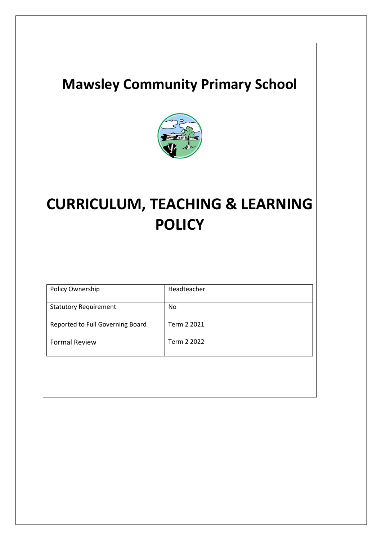## **Mawsley Community Primary School**



# **CURRICULUM, TEACHING & LEARNING POLICY**

| Policy Ownership                 | Headteacher |
|----------------------------------|-------------|
| <b>Statutory Requirement</b>     | No          |
| Reported to Full Governing Board | Term 2 2021 |
| <b>Formal Review</b>             | Term 2 2022 |
|                                  |             |
|                                  |             |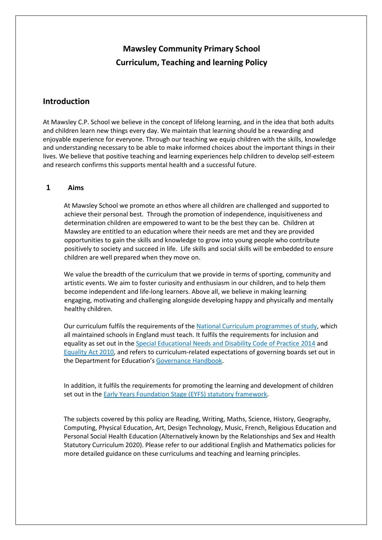### **Mawsley Community Primary School Curriculum, Teaching and learning Policy**

#### **Introduction**

At Mawsley C.P. School we believe in the concept of lifelong learning, and in the idea that both adults and children learn new things every day. We maintain that learning should be a rewarding and enjoyable experience for everyone. Through our teaching we equip children with the skills, knowledge and understanding necessary to be able to make informed choices about the important things in their lives. We believe that positive teaching and learning experiences help children to develop self-esteem and research confirms this supports mental health and a successful future.

#### **1 Aims**

At Mawsley School we promote an ethos where all children are challenged and supported to achieve their personal best. Through the promotion of independence, inquisitiveness and determination children are empowered to want to be the best they can be. Children at Mawsley are entitled to an education where their needs are met and they are provided opportunities to gain the skills and knowledge to grow into young people who contribute positively to society and succeed in life. Life skills and social skills will be embedded to ensure children are well prepared when they move on.

We value the breadth of the curriculum that we provide in terms of sporting, community and artistic events. We aim to foster curiosity and enthusiasm in our children, and to help them become independent and life-long learners. Above all, we believe in making learning engaging, motivating and challenging alongside developing happy and physically and mentally healthy children.

Our curriculum fulfils the requirements of the [National Curriculum programmes of study,](https://www.gov.uk/government/collections/national-curriculum) which all maintained schools in England must teach. It fulfils the requirements for inclusion and equality as set out in the [Special Educational Needs and Disability Code of Practice 2014](https://www.gov.uk/government/publications/send-code-of-practice-0-to-25) and [Equality Act 2010,](http://www.legislation.gov.uk/ukpga/2010/15/part/6/chapter/1) and refers to curriculum-related expectations of governing boards set out in the Department for Education's [Governance Handbook.](https://www.gov.uk/government/publications/governance-handbook)

In addition, it fulfils the requirements for promoting the learning and development of children set out in the [Early Years Foundation Stage \(EYFS\) statutory framework.](https://www.gov.uk/government/publications/early-years-foundation-stage-framework--2)

The subjects covered by this policy are Reading, Writing, Maths, Science, History, Geography, Computing, Physical Education, Art, Design Technology, Music, French, Religious Education and Personal Social Health Education (Alternatively known by the Relationships and Sex and Health Statutory Curriculum 2020). Please refer to our additional English and Mathematics policies for more detailed guidance on these curriculums and teaching and learning principles.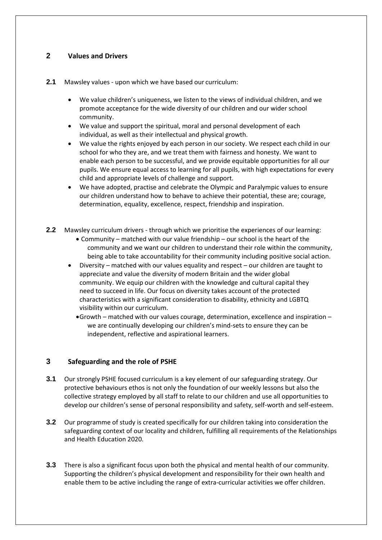#### **2 Values and Drivers**

- **2.1** Mawsley values upon which we have based our curriculum:
	- We value children's uniqueness, we listen to the views of individual children, and we promote acceptance for the wide diversity of our children and our wider school community.
	- We value and support the spiritual, moral and personal development of each individual, as well as their intellectual and physical growth.
	- We value the rights enjoyed by each person in our society. We respect each child in our school for who they are, and we treat them with fairness and honesty. We want to enable each person to be successful, and we provide equitable opportunities for all our pupils. We ensure equal access to learning for all pupils, with high expectations for every child and appropriate levels of challenge and support.
	- We have adopted, practise and celebrate the Olympic and Paralympic values to ensure our children understand how to behave to achieve their potential, these are; courage, determination, equality, excellence, respect, friendship and inspiration.
- **2.2** Mawsley curriculum drivers through which we prioritise the experiences of our learning:
	- Community matched with our value friendship our school is the heart of the community and we want our children to understand their role within the community, being able to take accountability for their community including positive social action.
	- Diversity matched with our values equality and respect our children are taught to appreciate and value the diversity of modern Britain and the wider global community. We equip our children with the knowledge and cultural capital they need to succeed in life. Our focus on diversity takes account of the protected characteristics with a significant consideration to disability, ethnicity and LGBTQ visibility within our curriculum.
		- •Growth matched with our values courage, determination, excellence and inspiration we are continually developing our children's mind-sets to ensure they can be independent, reflective and aspirational learners.

#### **3 Safeguarding and the role of PSHE**

- **3.1** Our strongly PSHE focused curriculum is a key element of our safeguarding strategy. Our protective behaviours ethos is not only the foundation of our weekly lessons but also the collective strategy employed by all staff to relate to our children and use all opportunities to develop our children's sense of personal responsibility and safety, self-worth and self-esteem.
- **3.2** Our programme of study is created specifically for our children taking into consideration the safeguarding context of our locality and children, fulfilling all requirements of the Relationships and Health Education 2020.
- **3.3** There is also a significant focus upon both the physical and mental health of our community. Supporting the children's physical development and responsibility for their own health and enable them to be active including the range of extra-curricular activities we offer children.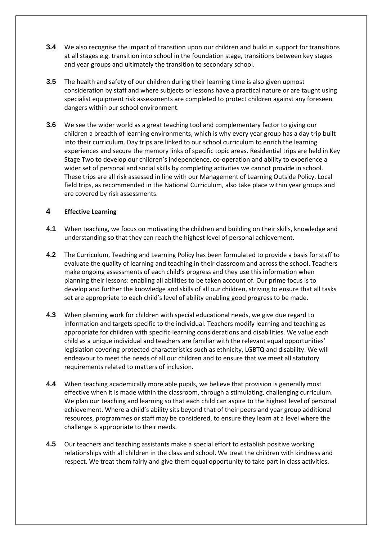- **3.4** We also recognise the impact of transition upon our children and build in support for transitions at all stages e.g. transition into school in the foundation stage, transitions between key stages and year groups and ultimately the transition to secondary school.
- **3.5** The health and safety of our children during their learning time is also given upmost consideration by staff and where subjects or lessons have a practical nature or are taught using specialist equipment risk assessments are completed to protect children against any foreseen dangers within our school environment.
- **3.6** We see the wider world as a great teaching tool and complementary factor to giving our children a breadth of learning environments, which is why every year group has a day trip built into their curriculum. Day trips are linked to our school curriculum to enrich the learning experiences and secure the memory links of specific topic areas. Residential trips are held in Key Stage Two to develop our children's independence, co-operation and ability to experience a wider set of personal and social skills by completing activities we cannot provide in school. These trips are all risk assessed in line with our Management of Learning Outside Policy. Local field trips, as recommended in the National Curriculum, also take place within year groups and are covered by risk assessments.

#### **4 Effective Learning**

- **4.1** When teaching, we focus on motivating the children and building on their skills, knowledge and understanding so that they can reach the highest level of personal achievement.
- **4.2** The Curriculum, Teaching and Learning Policy has been formulated to provide a basis for staff to evaluate the quality of learning and teaching in their classroom and across the school. Teachers make ongoing assessments of each child's progress and they use this information when planning their lessons: enabling all abilities to be taken account of. Our prime focus is to develop and further the knowledge and skills of all our children, striving to ensure that all tasks set are appropriate to each child's level of ability enabling good progress to be made.
- **4.3** When planning work for children with special educational needs, we give due regard to information and targets specific to the individual. Teachers modify learning and teaching as appropriate for children with specific learning considerations and disabilities. We value each child as a unique individual and teachers are familiar with the relevant equal opportunities' legislation covering protected characteristics such as ethnicity, LGBTQ and disability. We will endeavour to meet the needs of all our children and to ensure that we meet all statutory requirements related to matters of inclusion.
- **4.4** When teaching academically more able pupils, we believe that provision is generally most effective when it is made within the classroom, through a stimulating, challenging curriculum. We plan our teaching and learning so that each child can aspire to the highest level of personal achievement. Where a child's ability sits beyond that of their peers and year group additional resources, programmes or staff may be considered, to ensure they learn at a level where the challenge is appropriate to their needs.
- **4.5** Our teachers and teaching assistants make a special effort to establish positive working relationships with all children in the class and school. We treat the children with kindness and respect. We treat them fairly and give them equal opportunity to take part in class activities.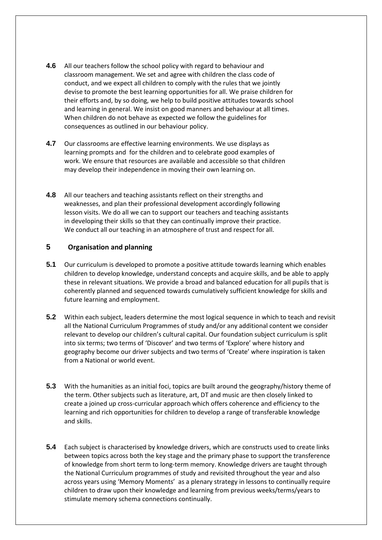- **4.6** All our teachers follow the school policy with regard to behaviour and classroom management. We set and agree with children the class code of conduct, and we expect all children to comply with the rules that we jointly devise to promote the best learning opportunities for all. We praise children for their efforts and, by so doing, we help to build positive attitudes towards school and learning in general. We insist on good manners and behaviour at all times. When children do not behave as expected we follow the guidelines for consequences as outlined in our behaviour policy.
- **4.7** Our classrooms are effective learning environments. We use displays as learning prompts and for the children and to celebrate good examples of work. We ensure that resources are available and accessible so that children may develop their independence in moving their own learning on.
- **4.8** All our teachers and teaching assistants reflect on their strengths and weaknesses, and plan their professional development accordingly following lesson visits. We do all we can to support our teachers and teaching assistants in developing their skills so that they can continually improve their practice. We conduct all our teaching in an atmosphere of trust and respect for all.

#### **5 Organisation and planning**

- **5.1** Our curriculum is developed to promote a positive attitude towards learning which enables children to develop knowledge, understand concepts and acquire skills, and be able to apply these in relevant situations. We provide a broad and balanced education for all pupils that is coherently planned and sequenced towards cumulatively sufficient knowledge for skills and future learning and employment.
- **5.2** Within each subject, leaders determine the most logical sequence in which to teach and revisit all the National Curriculum Programmes of study and/or any additional content we consider relevant to develop our children's cultural capital. Our foundation subject curriculum is split into six terms; two terms of 'Discover' and two terms of 'Explore' where history and geography become our driver subjects and two terms of 'Create' where inspiration is taken from a National or world event.
- **5.3** With the humanities as an initial foci, topics are built around the geography/history theme of the term. Other subjects such as literature, art, DT and music are then closely linked to create a joined up cross-curricular approach which offers coherence and efficiency to the learning and rich opportunities for children to develop a range of transferable knowledge and skills.
- **5.4** Each subject is characterised by knowledge drivers, which are constructs used to create links between topics across both the key stage and the primary phase to support the transference of knowledge from short term to long-term memory. Knowledge drivers are taught through the National Curriculum programmes of study and revisited throughout the year and also across years using 'Memory Moments' as a plenary strategy in lessons to continually require children to draw upon their knowledge and learning from previous weeks/terms/years to stimulate memory schema connections continually.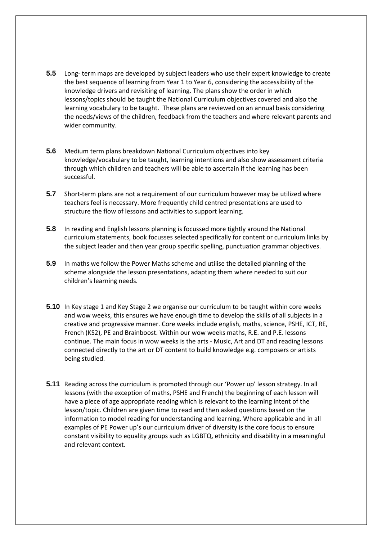- **5.5** Long- term maps are developed by subject leaders who use their expert knowledge to create the best sequence of learning from Year 1 to Year 6, considering the accessibility of the knowledge drivers and revisiting of learning. The plans show the order in which lessons/topics should be taught the National Curriculum objectives covered and also the learning vocabulary to be taught. These plans are reviewed on an annual basis considering the needs/views of the children, feedback from the teachers and where relevant parents and wider community.
- **5.6** Medium term plans breakdown National Curriculum objectives into key knowledge/vocabulary to be taught, learning intentions and also show assessment criteria through which children and teachers will be able to ascertain if the learning has been successful.
- **5.7** Short-term plans are not a requirement of our curriculum however may be utilized where teachers feel is necessary. More frequently child centred presentations are used to structure the flow of lessons and activities to support learning.
- **5.8** In reading and English lessons planning is focussed more tightly around the National curriculum statements, book focusses selected specifically for content or curriculum links by the subject leader and then year group specific spelling, punctuation grammar objectives.
- **5.9** In maths we follow the Power Maths scheme and utilise the detailed planning of the scheme alongside the lesson presentations, adapting them where needed to suit our children's learning needs.
- **5.10** In Key stage 1 and Key Stage 2 we organise our curriculum to be taught within core weeks and wow weeks, this ensures we have enough time to develop the skills of all subjects in a creative and progressive manner. Core weeks include english, maths, science, PSHE, ICT, RE, French (KS2), PE and Brainboost. Within our wow weeks maths, R.E. and P.E. lessons continue. The main focus in wow weeks is the arts - Music, Art and DT and reading lessons connected directly to the art or DT content to build knowledge e.g. composers or artists being studied.
- **5.11** Reading across the curriculum is promoted through our 'Power up' lesson strategy. In all lessons (with the exception of maths, PSHE and French) the beginning of each lesson will have a piece of age appropriate reading which is relevant to the learning intent of the lesson/topic. Children are given time to read and then asked questions based on the information to model reading for understanding and learning. Where applicable and in all examples of PE Power up's our curriculum driver of diversity is the core focus to ensure constant visibility to equality groups such as LGBTQ, ethnicity and disability in a meaningful and relevant context.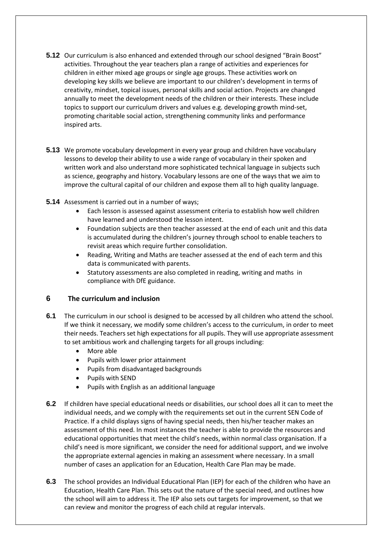- **5.12** Our curriculum is also enhanced and extended through our school designed "Brain Boost" activities. Throughout the year teachers plan a range of activities and experiences for children in either mixed age groups or single age groups. These activities work on developing key skills we believe are important to our children's development in terms of creativity, mindset, topical issues, personal skills and social action. Projects are changed annually to meet the development needs of the children or their interests. These include topics to support our curriculum drivers and values e.g. developing growth mind-set, promoting charitable social action, strengthening community links and performance inspired arts.
- **5.13** We promote vocabulary development in every year group and children have vocabulary lessons to develop their ability to use a wide range of vocabulary in their spoken and written work and also understand more sophisticated technical language in subjects such as science, geography and history. Vocabulary lessons are one of the ways that we aim to improve the cultural capital of our children and expose them all to high quality language.
- **5.14** Assessment is carried out in a number of ways;
	- Each lesson is assessed against assessment criteria to establish how well children have learned and understood the lesson intent.
	- Foundation subjects are then teacher assessed at the end of each unit and this data is accumulated during the children's journey through school to enable teachers to revisit areas which require further consolidation.
	- Reading, Writing and Maths are teacher assessed at the end of each term and this data is communicated with parents.
	- Statutory assessments are also completed in reading, writing and maths in compliance with DfE guidance.

#### **6 The curriculum and inclusion**

- **6.1** The curriculum in our school is designed to be accessed by all children who attend the school. If we think it necessary, we modify some children's access to the curriculum, in order to meet their needs. Teachers set high expectations for all pupils. They will use appropriate assessment to set ambitious work and challenging targets for all groups including:
	- More able
	- Pupils with lower prior attainment
	- Pupils from disadvantaged backgrounds
	- Pupils with SEND
	- Pupils with English as an additional language
- **6.2** If children have special educational needs or disabilities, our school does all it can to meet the individual needs, and we comply with the requirements set out in the current SEN Code of Practice. If a child displays signs of having special needs, then his/her teacher makes an assessment of this need. In most instances the teacher is able to provide the resources and educational opportunities that meet the child's needs, within normal class organisation. If a child's need is more significant, we consider the need for additional support, and we involve the appropriate external agencies in making an assessment where necessary. In a small number of cases an application for an Education, Health Care Plan may be made.
- **6.3** The school provides an Individual Educational Plan (IEP) for each of the children who have an Education, Health Care Plan. This sets out the nature of the special need, and outlines how the school will aim to address it. The IEP also sets out targets for improvement, so that we can review and monitor the progress of each child at regular intervals.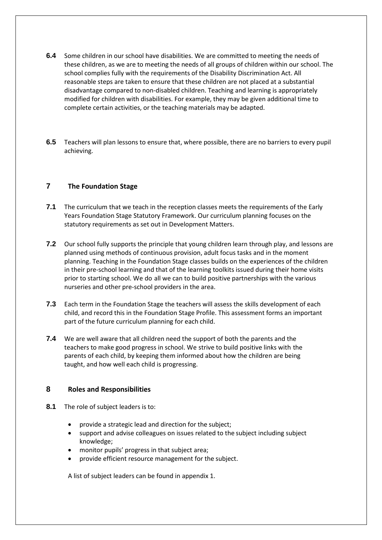- **6.4** Some children in our school have disabilities. We are committed to meeting the needs of these children, as we are to meeting the needs of all groups of children within our school. The school complies fully with the requirements of the Disability Discrimination Act. All reasonable steps are taken to ensure that these children are not placed at a substantial disadvantage compared to non-disabled children. Teaching and learning is appropriately modified for children with disabilities. For example, they may be given additional time to complete certain activities, or the teaching materials may be adapted.
- **6.5** Teachers will plan lessons to ensure that, where possible, there are no barriers to every pupil achieving.

#### **7 The Foundation Stage**

- **7.1** The curriculum that we teach in the reception classes meets the requirements of the Early Years Foundation Stage Statutory Framework. Our curriculum planning focuses on the statutory requirements as set out in Development Matters.
- **7.2** Our school fully supports the principle that young children learn through play, and lessons are planned using methods of continuous provision, adult focus tasks and in the moment planning. Teaching in the Foundation Stage classes builds on the experiences of the children in their pre-school learning and that of the learning toolkits issued during their home visits prior to starting school. We do all we can to build positive partnerships with the various nurseries and other pre-school providers in the area.
- **7.3** Each term in the Foundation Stage the teachers will assess the skills development of each child, and record this in the Foundation Stage Profile. This assessment forms an important part of the future curriculum planning for each child.
- **7.4** We are well aware that all children need the support of both the parents and the teachers to make good progress in school. We strive to build positive links with the parents of each child, by keeping them informed about how the children are being taught, and how well each child is progressing.

#### **8 Roles and Responsibilities**

- **8.1** The role of subject leaders is to:
	- provide a strategic lead and direction for the subject;
	- support and advise colleagues on issues related to the subject including subject knowledge;
	- monitor pupils' progress in that subject area;
	- provide efficient resource management for the subject.

A list of subject leaders can be found in appendix 1.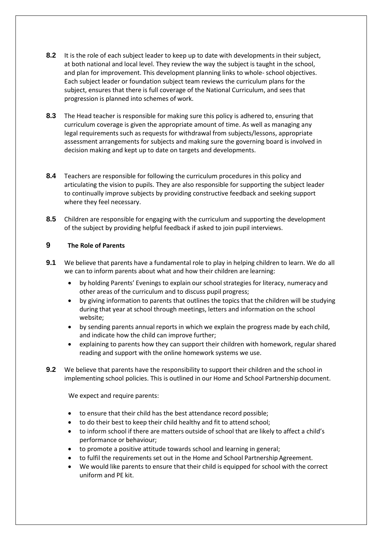- **8.2** It is the role of each subject leader to keep up to date with developments in their subject, at both national and local level. They review the way the subject is taught in the school, and plan for improvement. This development planning links to whole- school objectives. Each subject leader or foundation subject team reviews the curriculum plans for the subject, ensures that there is full coverage of the National Curriculum, and sees that progression is planned into schemes of work.
- **8.3** The Head teacher is responsible for making sure this policy is adhered to, ensuring that curriculum coverage is given the appropriate amount of time. As well as managing any legal requirements such as requests for withdrawal from subjects/lessons, appropriate assessment arrangements for subjects and making sure the governing board is involved in decision making and kept up to date on targets and developments.
- **8.4** Teachers are responsible for following the curriculum procedures in this policy and articulating the vision to pupils. They are also responsible for supporting the subject leader to continually improve subjects by providing constructive feedback and seeking support where they feel necessary.
- **8.5** Children are responsible for engaging with the curriculum and supporting the development of the subject by providing helpful feedback if asked to join pupil interviews.

#### **9 The Role of Parents**

- **9.1** We believe that parents have a fundamental role to play in helping children to learn. We do all we can to inform parents about what and how their children are learning:
	- by holding Parents' Evenings to explain our school strategies for literacy, numeracy and other areas of the curriculum and to discuss pupil progress;
	- by giving information to parents that outlines the topics that the children will be studying during that year at school through meetings, letters and information on the school website;
	- by sending parents annual reports in which we explain the progress made by each child, and indicate how the child can improve further;
	- explaining to parents how they can support their children with homework, regular shared reading and support with the online homework systems we use.
- **9.2** We believe that parents have the responsibility to support their children and the school in implementing school policies. This is outlined in our Home and School Partnership document.

We expect and require parents:

- to ensure that their child has the best attendance record possible;
- to do their best to keep their child healthy and fit to attend school;
- to inform school if there are matters outside of school that are likely to affect a child's performance or behaviour;
- to promote a positive attitude towards school and learning in general;
- to fulfil the requirements set out in the Home and School Partnership Agreement.
- We would like parents to ensure that their child is equipped for school with the correct uniform and PE kit.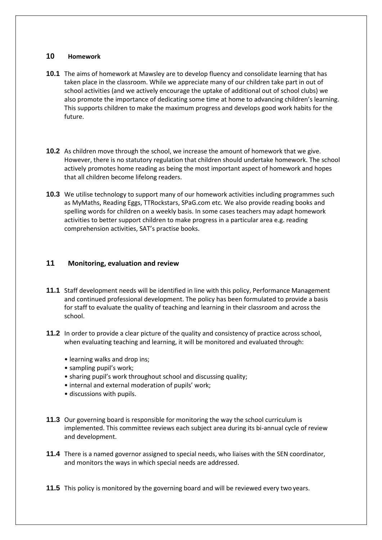#### **10 Homework**

- **10.1** The aims of homework at Mawsley are to develop fluency and consolidate learning that has taken place in the classroom. While we appreciate many of our children take part in out of school activities (and we actively encourage the uptake of additional out of school clubs) we also promote the importance of dedicating some time at home to advancing children's learning. This supports children to make the maximum progress and develops good work habits for the future.
- **10.2** As children move through the school, we increase the amount of homework that we give. However, there is no statutory regulation that children should undertake homework. The school actively promotes home reading as being the most important aspect of homework and hopes that all children become lifelong readers.
- **10.3** We utilise technology to support many of our homework activities including programmes such as MyMaths, Reading Eggs, TTRockstars, SPaG.com etc. We also provide reading books and spelling words for children on a weekly basis. In some cases teachers may adapt homework activities to better support children to make progress in a particular area e.g. reading comprehension activities, SAT's practise books.

#### **11 Monitoring, evaluation and review**

- **11.1** Staff development needs will be identified in line with this policy, Performance Management and continued professional development. The policy has been formulated to provide a basis for staff to evaluate the quality of teaching and learning in their classroom and across the school.
- **11.2** In order to provide a clear picture of the quality and consistency of practice across school, when evaluating teaching and learning, it will be monitored and evaluated through:
	- learning walks and drop ins;
	- sampling pupil's work;
	- sharing pupil's work throughout school and discussing quality;
	- internal and external moderation of pupils' work;
	- discussions with pupils.
- **11.3** Our governing board is responsible for monitoring the way the school curriculum is implemented. This committee reviews each subject area during its bi-annual cycle of review and development.
- **11.4** There is a named governor assigned to special needs, who liaises with the SEN coordinator, and monitors the ways in which special needs are addressed.
- **11.5** This policy is monitored by the governing board and will be reviewed every two years.